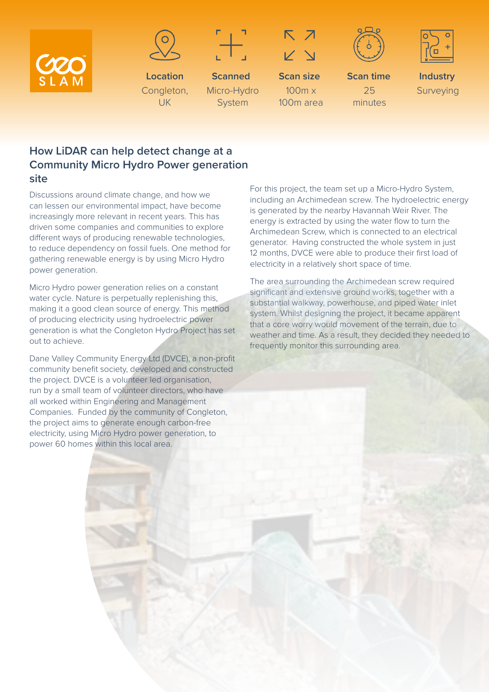



**Location** Congleton, UK



**Scanned** Micro-Hydro System



**Scan size** 100m x 100m area





**Scan time** 25 minutes

**Industry** Surveying

## **How LiDAR can help detect change at a Community Micro Hydro Power generation site**

Discussions around climate change, and how we can lessen our environmental impact, have become increasingly more relevant in recent years. This has driven some companies and communities to explore different ways of producing renewable technologies, to reduce dependency on fossil fuels. One method for gathering renewable energy is by using Micro Hydro power generation.

Micro Hydro power generation relies on a constant water cycle. Nature is perpetually replenishing this, making it a good clean source of energy. This method of producing electricity using hydroelectric power generation is what the Congleton Hydro Project has set out to achieve.

Dane Valley Community Energy Ltd (DVCE), a non-profit community benefit society, developed and constructed the project. DVCE is a volunteer led organisation, run by a small team of volunteer directors, who have all worked within Engineering and Management Companies. Funded by the community of Congleton, the project aims to generate enough carbon-free electricity, using Micro Hydro power generation, to power 60 homes within this local area.

For this project, the team set up a Micro-Hydro System, including an Archimedean screw. The hydroelectric energy is generated by the nearby Havannah Weir River. The energy is extracted by using the water flow to turn the Archimedean Screw, which is connected to an electrical generator. Having constructed the whole system in just 12 months, DVCE were able to produce their first load of electricity in a relatively short space of time.

The area surrounding the Archimedean screw required significant and extensive ground works, together with a substantial walkway, powerhouse, and piped water inlet system. Whilst designing the project, it became apparent that a core worry would movement of the terrain, due to weather and time. As a result, they decided they needed to frequently monitor this surrounding area.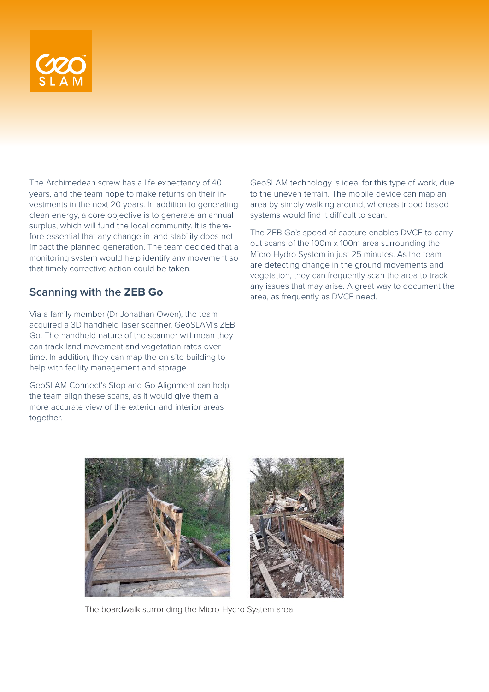

The Archimedean screw has a life expectancy of 40 years, and the team hope to make returns on their investments in the next 20 years. In addition to generating clean energy, a core objective is to generate an annual surplus, which will fund the local community. It is therefore essential that any change in land stability does not impact the planned generation. The team decided that a monitoring system would help identify any movement so that timely corrective action could be taken.

## **Scanning with the ZEB Go**

Via a family member (Dr Jonathan Owen), the team acquired a 3D handheld laser scanner, GeoSLAM's ZEB Go. The handheld nature of the scanner will mean they can track land movement and vegetation rates over time. In addition, they can map the on-site building to help with facility management and storage

GeoSLAM Connect's Stop and Go Alignment can help the team align these scans, as it would give them a more accurate view of the exterior and interior areas together.

GeoSLAM technology is ideal for this type of work, due to the uneven terrain. The mobile device can map an area by simply walking around, whereas tripod-based systems would find it difficult to scan.

The ZEB Go's speed of capture enables DVCE to carry out scans of the 100m x 100m area surrounding the Micro-Hydro System in just 25 minutes. As the team are detecting change in the ground movements and vegetation, they can frequently scan the area to track any issues that may arise. A great way to document the area, as frequently as DVCE need.



The boardwalk surronding the Micro-Hydro System area